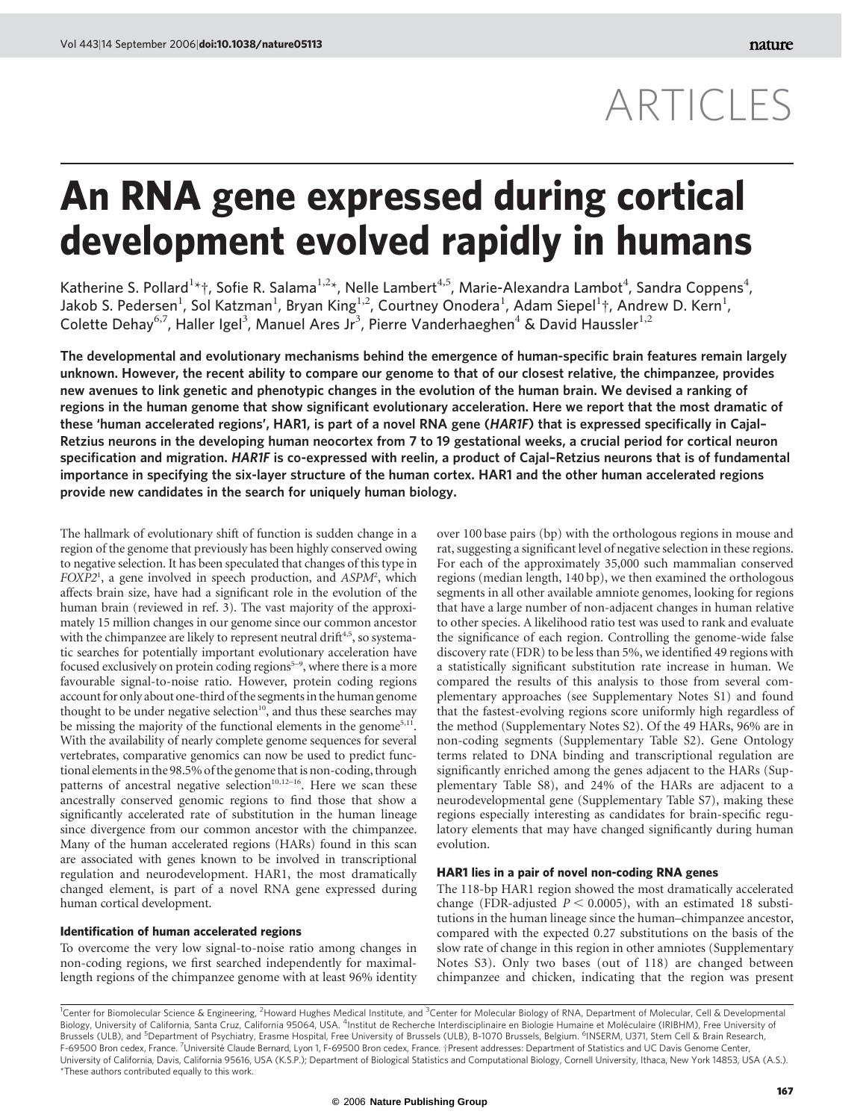# ARTICLES

# An RNA gene expressed during cortical development evolved rapidly in humans

Katherine S. Pollard<sup>1\*</sup>†, Sofie R. Salama<sup>1,2\*</sup>, Nelle Lambert<sup>4,5</sup>, Marie-Alexandra Lambot<sup>4</sup>, Sandra Coppens<sup>4</sup>, Jakob S. Pedersen $^1$ , Sol Katzman $^1$ , Bryan King $^{1,2}$ , Courtney Onodera $^1$ , Adam Siepel $^1$ †, Andrew D. Kern $^1$ , Colette Dehay<sup>6,7</sup>, Haller Igel<sup>3</sup>, Manuel Ares Jr<sup>3</sup>, Pierre Vanderhaeghen<sup>4</sup> & David Haussler<sup>1,2</sup>

The developmental and evolutionary mechanisms behind the emergence of human-specific brain features remain largely unknown. However, the recent ability to compare our genome to that of our closest relative, the chimpanzee, provides new avenues to link genetic and phenotypic changes in the evolution of the human brain. We devised a ranking of regions in the human genome that show significant evolutionary acceleration. Here we report that the most dramatic of these 'human accelerated regions', HAR1, is part of a novel RNA gene (HAR1F) that is expressed specifically in Cajal– Retzius neurons in the developing human neocortex from 7 to 19 gestational weeks, a crucial period for cortical neuron specification and migration. HAR1F is co-expressed with reelin, a product of Cajal–Retzius neurons that is of fundamental importance in specifying the six-layer structure of the human cortex. HAR1 and the other human accelerated regions provide new candidates in the search for uniquely human biology.

The hallmark of evolutionary shift of function is sudden change in a region of the genome that previously has been highly conserved owing to negative selection. It has been speculated that changes of this type in FOXP2<sup>1</sup>, a gene involved in speech production, and ASPM<sup>2</sup>, which affects brain size, have had a significant role in the evolution of the human brain (reviewed in ref. 3). The vast majority of the approximately 15 million changes in our genome since our common ancestor with the chimpanzee are likely to represent neutral drift<sup>4,5</sup>, so systematic searches for potentially important evolutionary acceleration have focused exclusively on protein coding regions<sup>5-9</sup>, where there is a more favourable signal-to-noise ratio. However, protein coding regions account for only about one-third of the segments in the human genome thought to be under negative selection<sup>10</sup>, and thus these searches may be missing the majority of the functional elements in the genome<sup>5,11</sup>. With the availability of nearly complete genome sequences for several vertebrates, comparative genomics can now be used to predict functional elements in the 98.5% of the genome that is non-coding, through patterns of ancestral negative selection<sup>10,12-16</sup>. Here we scan these ancestrally conserved genomic regions to find those that show a significantly accelerated rate of substitution in the human lineage since divergence from our common ancestor with the chimpanzee. Many of the human accelerated regions (HARs) found in this scan are associated with genes known to be involved in transcriptional regulation and neurodevelopment. HAR1, the most dramatically changed element, is part of a novel RNA gene expressed during human cortical development.

# Identification of human accelerated regions

To overcome the very low signal-to-noise ratio among changes in non-coding regions, we first searched independently for maximallength regions of the chimpanzee genome with at least 96% identity over 100 base pairs (bp) with the orthologous regions in mouse and rat, suggesting a significant level of negative selection in these regions. For each of the approximately 35,000 such mammalian conserved regions (median length, 140 bp), we then examined the orthologous segments in all other available amniote genomes, looking for regions that have a large number of non-adjacent changes in human relative to other species. A likelihood ratio test was used to rank and evaluate the significance of each region. Controlling the genome-wide false discovery rate (FDR) to be less than 5%, we identified 49 regions with a statistically significant substitution rate increase in human. We compared the results of this analysis to those from several complementary approaches (see Supplementary Notes S1) and found that the fastest-evolving regions score uniformly high regardless of the method (Supplementary Notes S2). Of the 49 HARs, 96% are in non-coding segments (Supplementary Table S2). Gene Ontology terms related to DNA binding and transcriptional regulation are significantly enriched among the genes adjacent to the HARs (Supplementary Table S8), and 24% of the HARs are adjacent to a neurodevelopmental gene (Supplementary Table S7), making these regions especially interesting as candidates for brain-specific regulatory elements that may have changed significantly during human evolution.

# HAR1 lies in a pair of novel non-coding RNA genes

The 118-bp HAR1 region showed the most dramatically accelerated change (FDR-adjusted  $P < 0.0005$ ), with an estimated 18 substitutions in the human lineage since the human–chimpanzee ancestor, compared with the expected 0.27 substitutions on the basis of the slow rate of change in this region in other amniotes (Supplementary Notes S3). Only two bases (out of 118) are changed between chimpanzee and chicken, indicating that the region was present

<sup>1</sup>Center for Biomolecular Science & Engineering, <sup>2</sup>Howard Hughes Medical Institute, and <sup>3</sup>Center for Molecular Biology of RNA, Department of Molecular, Cell & Developmental Biology, University of California, Santa Cruz, California 95064, USA. <sup>4</sup>Institut de Recherche Interdisciplinaire en Biologie Humaine et Moléculaire (IRIBHM), Free University of<br>Brussels (ULB), and <sup>5</sup>Department of Psychia F-69500 Bron cedex, France. <sup>7</sup>Université Claude Bernard, Lyon 1, F-69500 Bron cedex, France. †Present addresses: Department of Statistics and UC Davis Genome Center, University of California, Davis, California 95616, USA (K.S.P.); Department of Biological Statistics and Computational Biology, Cornell University, Ithaca, New York 14853, USA (A.S.). \*These authors contributed equally to this work.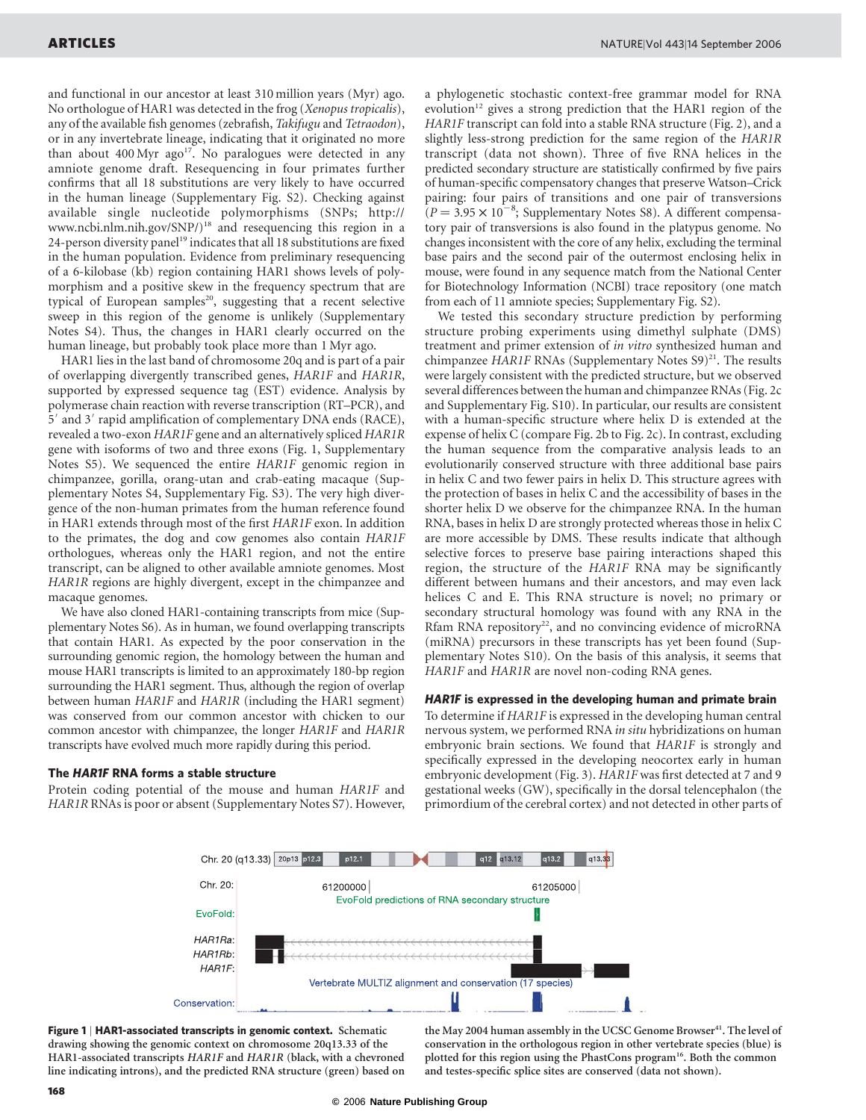and functional in our ancestor at least 310 million years (Myr) ago. No orthologue of HAR1 was detected in the frog (Xenopus tropicalis), any of the available fish genomes (zebrafish, Takifugu and Tetraodon), or in any invertebrate lineage, indicating that it originated no more than about  $400 \,\text{Myr}$  ago<sup>17</sup>. No paralogues were detected in any amniote genome draft. Resequencing in four primates further confirms that all 18 substitutions are very likely to have occurred in the human lineage (Supplementary Fig. S2). Checking against available single nucleotide polymorphisms (SNPs; http:// www.ncbi.nlm.nih.gov/SNP/)<sup>18</sup> and resequencing this region in a 24-person diversity panel<sup>19</sup> indicates that all 18 substitutions are fixed in the human population. Evidence from preliminary resequencing of a 6-kilobase (kb) region containing HAR1 shows levels of polymorphism and a positive skew in the frequency spectrum that are typical of European samples<sup>20</sup>, suggesting that a recent selective sweep in this region of the genome is unlikely (Supplementary Notes S4). Thus, the changes in HAR1 clearly occurred on the human lineage, but probably took place more than 1 Myr ago.

HAR1 lies in the last band of chromosome 20q and is part of a pair of overlapping divergently transcribed genes, HAR1F and HAR1R, supported by expressed sequence tag (EST) evidence. Analysis by polymerase chain reaction with reverse transcription (RT–PCR), and 5' and 3' rapid amplification of complementary DNA ends (RACE), revealed a two-exon HAR1F gene and an alternatively spliced HAR1R gene with isoforms of two and three exons (Fig. 1, Supplementary Notes S5). We sequenced the entire HAR1F genomic region in chimpanzee, gorilla, orang-utan and crab-eating macaque (Supplementary Notes S4, Supplementary Fig. S3). The very high divergence of the non-human primates from the human reference found in HAR1 extends through most of the first HAR1F exon. In addition to the primates, the dog and cow genomes also contain HAR1F orthologues, whereas only the HAR1 region, and not the entire transcript, can be aligned to other available amniote genomes. Most HAR1R regions are highly divergent, except in the chimpanzee and macaque genomes.

We have also cloned HAR1-containing transcripts from mice (Supplementary Notes S6). As in human, we found overlapping transcripts that contain HAR1. As expected by the poor conservation in the surrounding genomic region, the homology between the human and mouse HAR1 transcripts is limited to an approximately 180-bp region surrounding the HAR1 segment. Thus, although the region of overlap between human HAR1F and HAR1R (including the HAR1 segment) was conserved from our common ancestor with chicken to our common ancestor with chimpanzee, the longer HAR1F and HAR1R transcripts have evolved much more rapidly during this period.

### The HAR1F RNA forms a stable structure

Protein coding potential of the mouse and human HAR1F and HAR1R RNAs is poor or absent (Supplementary Notes S7). However, a phylogenetic stochastic context-free grammar model for RNA evolution<sup>12</sup> gives a strong prediction that the HAR1 region of the HAR1F transcript can fold into a stable RNA structure (Fig. 2), and a slightly less-strong prediction for the same region of the HAR1R transcript (data not shown). Three of five RNA helices in the predicted secondary structure are statistically confirmed by five pairs of human-specific compensatory changes that preserve Watson–Crick pairing: four pairs of transitions and one pair of transversions  $\overline{R}(P = 3.95 \times 10^{-8})$ ; Supplementary Notes S8). A different compensatory pair of transversions is also found in the platypus genome. No changes inconsistent with the core of any helix, excluding the terminal base pairs and the second pair of the outermost enclosing helix in mouse, were found in any sequence match from the National Center for Biotechnology Information (NCBI) trace repository (one match from each of 11 amniote species; Supplementary Fig. S2).

We tested this secondary structure prediction by performing structure probing experiments using dimethyl sulphate (DMS) treatment and primer extension of in vitro synthesized human and chimpanzee HAR1F RNAs (Supplementary Notes  $S9)^{21}$ . The results were largely consistent with the predicted structure, but we observed several differences between the human and chimpanzee RNAs (Fig. 2c and Supplementary Fig. S10). In particular, our results are consistent with a human-specific structure where helix D is extended at the expense of helix C (compare Fig. 2b to Fig. 2c). In contrast, excluding the human sequence from the comparative analysis leads to an evolutionarily conserved structure with three additional base pairs in helix C and two fewer pairs in helix D. This structure agrees with the protection of bases in helix C and the accessibility of bases in the shorter helix D we observe for the chimpanzee RNA. In the human RNA, bases in helix D are strongly protected whereas those in helix C are more accessible by DMS. These results indicate that although selective forces to preserve base pairing interactions shaped this region, the structure of the HAR1F RNA may be significantly different between humans and their ancestors, and may even lack helices C and E. This RNA structure is novel; no primary or secondary structural homology was found with any RNA in the Rfam RNA repository<sup>22</sup>, and no convincing evidence of microRNA (miRNA) precursors in these transcripts has yet been found (Supplementary Notes S10). On the basis of this analysis, it seems that HAR1F and HAR1R are novel non-coding RNA genes.

## HAR1F is expressed in the developing human and primate brain

To determine if HAR1F is expressed in the developing human central nervous system, we performed RNA in situ hybridizations on human embryonic brain sections. We found that HAR1F is strongly and specifically expressed in the developing neocortex early in human embryonic development (Fig. 3). HAR1F was first detected at 7 and 9 gestational weeks (GW), specifically in the dorsal telencephalon (the primordium of the cerebral cortex) and not detected in other parts of



Figure 1 | HAR1-associated transcripts in genomic context. Schematic drawing showing the genomic context on chromosome 20q13.33 of the HAR1-associated transcripts HAR1F and HAR1R (black, with a chevroned line indicating introns), and the predicted RNA structure (green) based on the May 2004 human assembly in the UCSC Genome Browser<sup>41</sup>. The level of conservation in the orthologous region in other vertebrate species (blue) is plotted for this region using the PhastCons program<sup>16</sup>. Both the common and testes-specific splice sites are conserved (data not shown).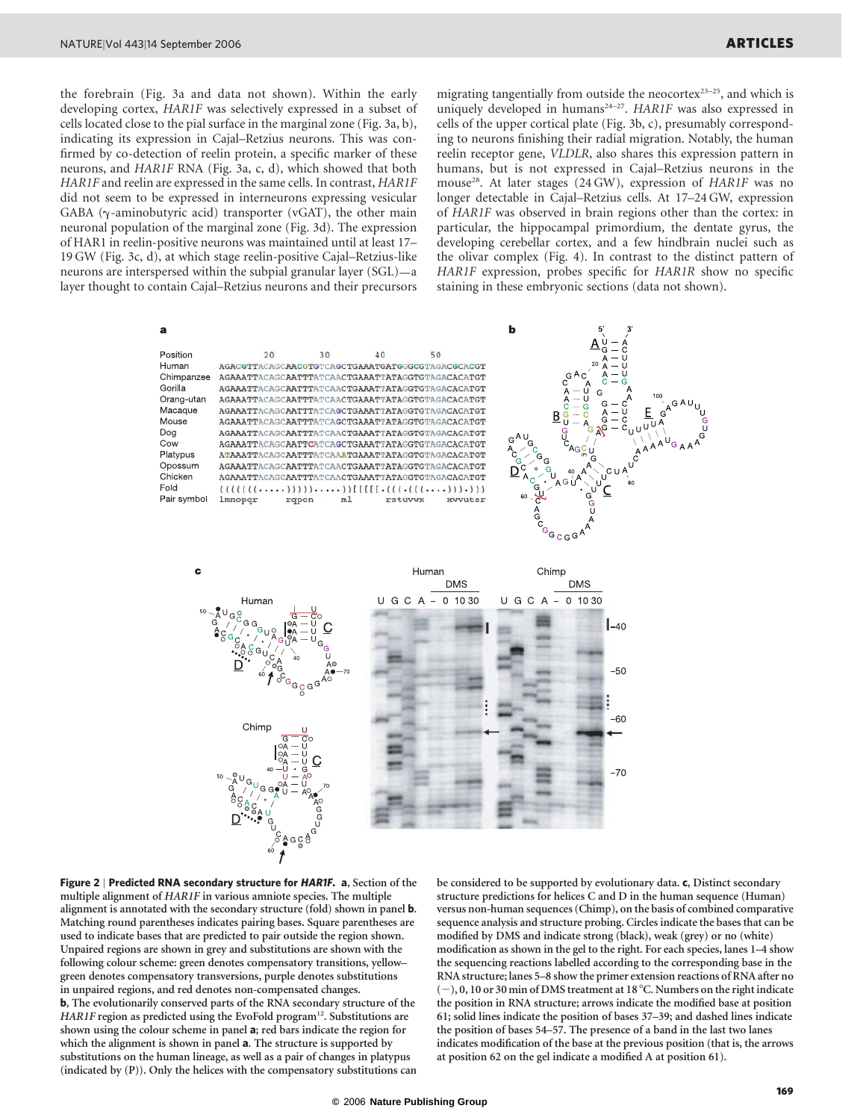the forebrain (Fig. 3a and data not shown). Within the early developing cortex, HAR1F was selectively expressed in a subset of cells located close to the pial surface in the marginal zone (Fig. 3a, b), indicating its expression in Cajal–Retzius neurons. This was confirmed by co-detection of reelin protein, a specific marker of these neurons, and HAR1F RNA (Fig. 3a, c, d), which showed that both HAR1F and reelin are expressed in the same cells. In contrast, HAR1F did not seem to be expressed in interneurons expressing vesicular GABA ( $\gamma$ -aminobutyric acid) transporter (vGAT), the other main neuronal population of the marginal zone (Fig. 3d). The expression of HAR1 in reelin-positive neurons was maintained until at least 17– 19 GW (Fig. 3c, d), at which stage reelin-positive Cajal–Retzius-like neurons are interspersed within the subpial granular layer (SGL)—a layer thought to contain Cajal–Retzius neurons and their precursors migrating tangentially from outside the neocortex<sup>23-25</sup>, and which is uniquely developed in humans<sup>24-27</sup>. HAR1F was also expressed in cells of the upper cortical plate (Fig. 3b, c), presumably corresponding to neurons finishing their radial migration. Notably, the human reelin receptor gene, VLDLR, also shares this expression pattern in humans, but is not expressed in Cajal–Retzius neurons in the mouse<sup>28</sup>. At later stages (24 GW), expression of HAR1F was no longer detectable in Cajal–Retzius cells. At 17–24 GW, expression of HAR1F was observed in brain regions other than the cortex: in particular, the hippocampal primordium, the dentate gyrus, the developing cerebellar cortex, and a few hindbrain nuclei such as the olivar complex (Fig. 4). In contrast to the distinct pattern of HAR1F expression, probes specific for HAR1R show no specific staining in these embryonic sections (data not shown).



Figure 2 | Predicted RNA secondary structure for HAR1F. a, Section of the multiple alignment of HAR1F in various amniote species. The multiple alignment is annotated with the secondary structure (fold) shown in panel **b**. Matching round parentheses indicates pairing bases. Square parentheses are used to indicate bases that are predicted to pair outside the region shown. Unpaired regions are shown in grey and substitutions are shown with the following colour scheme: green denotes compensatory transitions, yellow– green denotes compensatory transversions, purple denotes substitutions in unpaired regions, and red denotes non-compensated changes. b, The evolutionarily conserved parts of the RNA secondary structure of the HAR1F region as predicted using the EvoFold program<sup>12</sup>. Substitutions are shown using the colour scheme in panel a; red bars indicate the region for which the alignment is shown in panel **a**. The structure is supported by substitutions on the human lineage, as well as a pair of changes in platypus (indicated by (P)). Only the helices with the compensatory substitutions can

be considered to be supported by evolutionary data. c, Distinct secondary structure predictions for helices C and D in the human sequence (Human) versus non-human sequences (Chimp), on the basis of combined comparative sequence analysis and structure probing. Circles indicate the bases that can be modified by DMS and indicate strong (black), weak (grey) or no (white) modification as shown in the gel to the right. For each species, lanes 1–4 show the sequencing reactions labelled according to the corresponding base in the RNA structure; lanes 5–8 show the primer extension reactions of RNA after no  $(-)$ , 0, 10 or 30 min of DMS treatment at 18 °C. Numbers on the right indicate the position in RNA structure; arrows indicate the modified base at position 61; solid lines indicate the position of bases 37–39; and dashed lines indicate the position of bases 54–57. The presence of a band in the last two lanes indicates modification of the base at the previous position (that is, the arrows at position 62 on the gel indicate a modified A at position 61).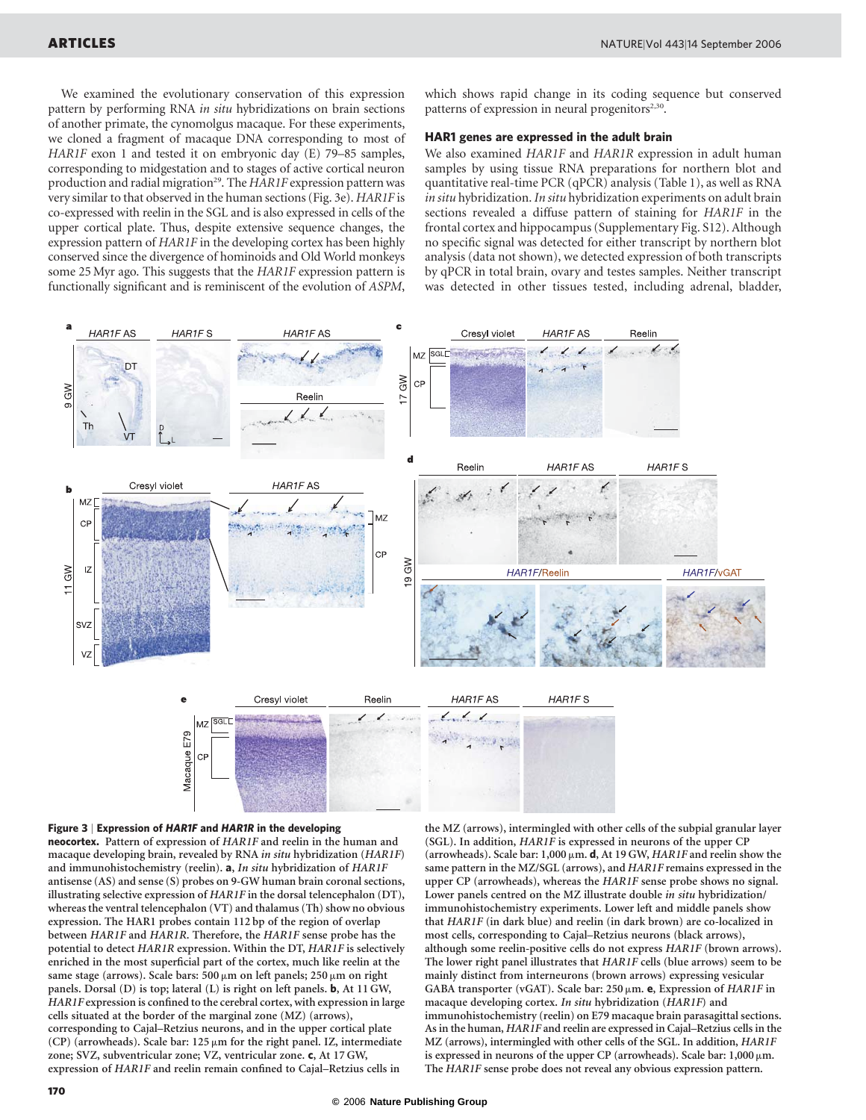We examined the evolutionary conservation of this expression pattern by performing RNA in situ hybridizations on brain sections of another primate, the cynomolgus macaque. For these experiments, we cloned a fragment of macaque DNA corresponding to most of HAR1F exon 1 and tested it on embryonic day (E) 79-85 samples, corresponding to midgestation and to stages of active cortical neuron production and radial migration<sup>29</sup>. The HAR1F expression pattern was very similar to that observed in the human sections (Fig. 3e). HAR1F is co-expressed with reelin in the SGL and is also expressed in cells of the upper cortical plate. Thus, despite extensive sequence changes, the expression pattern of HAR1F in the developing cortex has been highly conserved since the divergence of hominoids and Old World monkeys some 25 Myr ago. This suggests that the HAR1F expression pattern is functionally significant and is reminiscent of the evolution of ASPM,

which shows rapid change in its coding sequence but conserved patterns of expression in neural progenitors $2,30$ .

# HAR1 genes are expressed in the adult brain

We also examined HAR1F and HAR1R expression in adult human samples by using tissue RNA preparations for northern blot and quantitative real-time PCR (qPCR) analysis (Table 1), as well as RNA in situ hybridization. In situ hybridization experiments on adult brain sections revealed a diffuse pattern of staining for HAR1F in the frontal cortex and hippocampus (Supplementary Fig. S12). Although no specific signal was detected for either transcript by northern blot analysis (data not shown), we detected expression of both transcripts by qPCR in total brain, ovary and testes samples. Neither transcript was detected in other tissues tested, including adrenal, bladder,



#### Figure 3 | Expression of HAR1F and HAR1R in the developing

neocortex. Pattern of expression of HAR1F and reelin in the human and macaque developing brain, revealed by RNA in situ hybridization (HAR1F) and immunohistochemistry (reelin). a, In situ hybridization of HAR1F antisense (AS) and sense (S) probes on 9-GW human brain coronal sections, illustrating selective expression of HAR1F in the dorsal telencephalon (DT), whereas the ventral telencephalon (VT) and thalamus (Th) show no obvious expression. The HAR1 probes contain 112 bp of the region of overlap between HAR1F and HAR1R. Therefore, the HAR1F sense probe has the potential to detect HAR1R expression. Within the DT, HAR1F is selectively enriched in the most superficial part of the cortex, much like reelin at the same stage (arrows). Scale bars:  $500 \mu m$  on left panels;  $250 \mu m$  on right panels. Dorsal (D) is top; lateral (L) is right on left panels. b, At 11 GW, HAR1F expression is confined to the cerebral cortex, with expression in large cells situated at the border of the marginal zone (MZ) (arrows), corresponding to Cajal–Retzius neurons, and in the upper cortical plate (CP) (arrowheads). Scale bar:  $125 \mu m$  for the right panel. IZ, intermediate zone; SVZ, subventricular zone; VZ, ventricular zone. c, At 17 GW, expression of HAR1F and reelin remain confined to Cajal–Retzius cells in

the MZ (arrows), intermingled with other cells of the subpial granular layer (SGL). In addition, HAR1F is expressed in neurons of the upper CP (arrowheads). Scale bar: 1,000  $\mu$ m. **d**, At 19 GW, HAR1F and reelin show the same pattern in the MZ/SGL (arrows), and HAR1F remains expressed in the upper CP (arrowheads), whereas the HAR1F sense probe shows no signal. Lower panels centred on the MZ illustrate double in situ hybridization/ immunohistochemistry experiments. Lower left and middle panels show that HAR1F (in dark blue) and reelin (in dark brown) are co-localized in most cells, corresponding to Cajal–Retzius neurons (black arrows), although some reelin-positive cells do not express HAR1F (brown arrows). The lower right panel illustrates that HAR1F cells (blue arrows) seem to be mainly distinct from interneurons (brown arrows) expressing vesicular GABA transporter (vGAT). Scale bar: 250  $\mu$ m. e, Expression of HAR1F in macaque developing cortex. In situ hybridization (HAR1F) and immunohistochemistry (reelin) on E79 macaque brain parasagittal sections. As in the human, HAR1F and reelin are expressed in Cajal–Retzius cells in the MZ (arrows), intermingled with other cells of the SGL. In addition, HAR1F is expressed in neurons of the upper CP (arrowheads). Scale bar:  $1,000 \mu m$ . The HAR1F sense probe does not reveal any obvious expression pattern.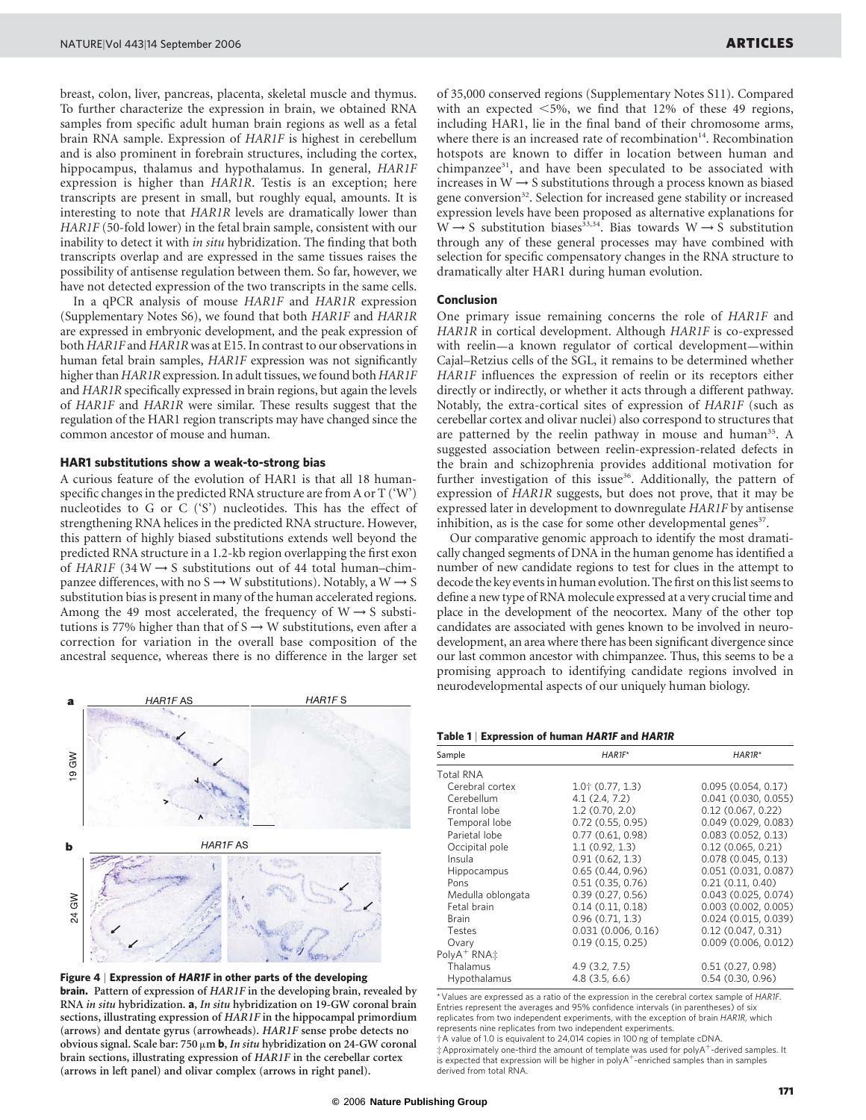breast, colon, liver, pancreas, placenta, skeletal muscle and thymus. To further characterize the expression in brain, we obtained RNA samples from specific adult human brain regions as well as a fetal brain RNA sample. Expression of HAR1F is highest in cerebellum and is also prominent in forebrain structures, including the cortex, hippocampus, thalamus and hypothalamus. In general, HAR1F expression is higher than HAR1R. Testis is an exception; here transcripts are present in small, but roughly equal, amounts. It is interesting to note that HAR1R levels are dramatically lower than HAR1F (50-fold lower) in the fetal brain sample, consistent with our inability to detect it with in situ hybridization. The finding that both transcripts overlap and are expressed in the same tissues raises the possibility of antisense regulation between them. So far, however, we have not detected expression of the two transcripts in the same cells.

In a qPCR analysis of mouse HAR1F and HAR1R expression (Supplementary Notes S6), we found that both HAR1F and HAR1R are expressed in embryonic development, and the peak expression of both HAR1F and HAR1R was at E15. In contrast to our observations in human fetal brain samples, HAR1F expression was not significantly higher than HAR1R expression. In adult tissues, we found both HAR1F and HAR1R specifically expressed in brain regions, but again the levels of HAR1F and HAR1R were similar. These results suggest that the regulation of the HAR1 region transcripts may have changed since the common ancestor of mouse and human.

### HAR1 substitutions show a weak-to-strong bias

A curious feature of the evolution of HAR1 is that all 18 humanspecific changes in the predicted RNA structure are from A or T ('W') nucleotides to G or C ('S') nucleotides. This has the effect of strengthening RNA helices in the predicted RNA structure. However, this pattern of highly biased substitutions extends well beyond the predicted RNA structure in a 1.2-kb region overlapping the first exon of HAR1F (34 W  $\rightarrow$  S substitutions out of 44 total human–chimpanzee differences, with no S  $\rightarrow$  W substitutions). Notably, a W  $\rightarrow$  S substitution bias is present in many of the human accelerated regions. Among the 49 most accelerated, the frequency of  $W \rightarrow S$  substitutions is 77% higher than that of  $S \rightarrow W$  substitutions, even after a correction for variation in the overall base composition of the ancestral sequence, whereas there is no difference in the larger set



Figure 4 | Expression of HAR1F in other parts of the developing **brain.** Pattern of expression of HAR1F in the developing brain, revealed by RNA in situ hybridization. a, In situ hybridization on 19-GW coronal brain sections, illustrating expression of HAR1F in the hippocampal primordium (arrows) and dentate gyrus (arrowheads). HAR1F sense probe detects no obvious signal. Scale bar: 750  $\mu$ m **b**, In situ hybridization on 24-GW coronal brain sections, illustrating expression of HAR1F in the cerebellar cortex (arrows in left panel) and olivar complex (arrows in right panel).

of 35,000 conserved regions (Supplementary Notes S11). Compared with an expected  $<$  5%, we find that 12% of these 49 regions, including HAR1, lie in the final band of their chromosome arms, where there is an increased rate of recombination<sup>14</sup>. Recombination hotspots are known to differ in location between human and chimpanzee<sup>31</sup>, and have been speculated to be associated with increases in  $\mathbf{W}\longrightarrow \mathbf{S}$  substitutions through a process known as biased gene conversion<sup>32</sup>. Selection for increased gene stability or increased expression levels have been proposed as alternative explanations for  $W \rightarrow S$  substitution biases<sup>33,34</sup>. Bias towards  $W \rightarrow \overline{S}$  substitution through any of these general processes may have combined with selection for specific compensatory changes in the RNA structure to dramatically alter HAR1 during human evolution.

# Conclusion

One primary issue remaining concerns the role of HAR1F and HAR1R in cortical development. Although HAR1F is co-expressed with reelin—a known regulator of cortical development—within Cajal–Retzius cells of the SGL, it remains to be determined whether HAR1F influences the expression of reelin or its receptors either directly or indirectly, or whether it acts through a different pathway. Notably, the extra-cortical sites of expression of HAR1F (such as cerebellar cortex and olivar nuclei) also correspond to structures that are patterned by the reelin pathway in mouse and human<sup>35</sup>. A suggested association between reelin-expression-related defects in the brain and schizophrenia provides additional motivation for further investigation of this issue<sup>36</sup>. Additionally, the pattern of expression of HAR1R suggests, but does not prove, that it may be expressed later in development to downregulate HAR1F by antisense inhibition, as is the case for some other developmental genes<sup>37</sup>.

Our comparative genomic approach to identify the most dramatically changed segments of DNA in the human genome has identified a number of new candidate regions to test for clues in the attempt to decode the key events in human evolution. The first on this list seems to define a new type of RNA molecule expressed at a very crucial time and place in the development of the neocortex. Many of the other top candidates are associated with genes known to be involved in neurodevelopment, an area where there has been significant divergence since our last common ancestor with chimpanzee. Thus, this seems to be a promising approach to identifying candidate regions involved in neurodevelopmental aspects of our uniquely human biology.

Table 1 | Expression of human HAR1F and HAR1R

| Sample                              | $HARTF^*$           | $HARR^*$            |
|-------------------------------------|---------------------|---------------------|
| <b>Total RNA</b>                    |                     |                     |
| Cerebral cortex                     | $1.0$ $(0.77, 1.3)$ | 0.095(0.054, 0.17)  |
| Cerebellum                          | 4.1(2.4, 7.2)       | 0.041(0.030, 0.055) |
| Frontal lobe                        | 1.2(0.70.2.0)       | 0.12(0.067, 0.22)   |
| Temporal lobe                       | 0.72(0.55, 0.95)    | 0.049(0.029, 0.083) |
| Parietal lobe                       | 0.77(0.61, 0.98)    | 0.083(0.052, 0.13)  |
| Occipital pole                      | 1.1(0.92.1.3)       | 0.12(0.065, 0.21)   |
| Insula                              | 0.91(0.62, 1.3)     | 0.078(0.045, 0.13)  |
| <b>Hippocampus</b>                  | 0.65(0.44, 0.96)    | 0.051(0.031, 0.087) |
| Pons                                | 0.51(0.35, 0.76)    | 0.21(0.11, 0.40)    |
| Medulla oblongata                   | 0.39(0.27, 0.56)    | 0.043(0.025, 0.074) |
| Fetal brain                         | 0.14(0.11, 0.18)    | 0.003(0.002, 0.005) |
| <b>Brain</b>                        | 0.96(0.71, 1.3)     | 0.024(0.015, 0.039) |
| Testes                              | 0.031(0.006, 0.16)  | 0.12(0.047, 0.31)   |
| Ovary                               | 0.19(0.15, 0.25)    | 0.009(0.006, 0.012) |
| PolyA <sup>+</sup> RNA <sup>+</sup> |                     |                     |
| Thalamus                            | 4.9(3.2, 7.5)       | 0.51(0.27, 0.98)    |
| Hypothalamus                        | $4.8$ (3.5, 6.6)    | 0.54(0.30, 0.96)    |

\*Values are expressed as a ratio of the expression in the cerebral cortex sample of HAR1F. Entries represent the averages and 95% confidence intervals (in parentheses) of six replicates from two independent experiments, with the exception of brain HAR1R, which represents nine replicates from two independent experiments.

†A value of 1.0 is equivalent to 24,014 copies in 100 ng of template cDNA.  $\pm$  Approximately one-third the amount of template was used for polyA<sup>+</sup>-derived samples. It is expected that expression will be higher in poly $A^+$ -enriched samples than in samples derived from total RNA.